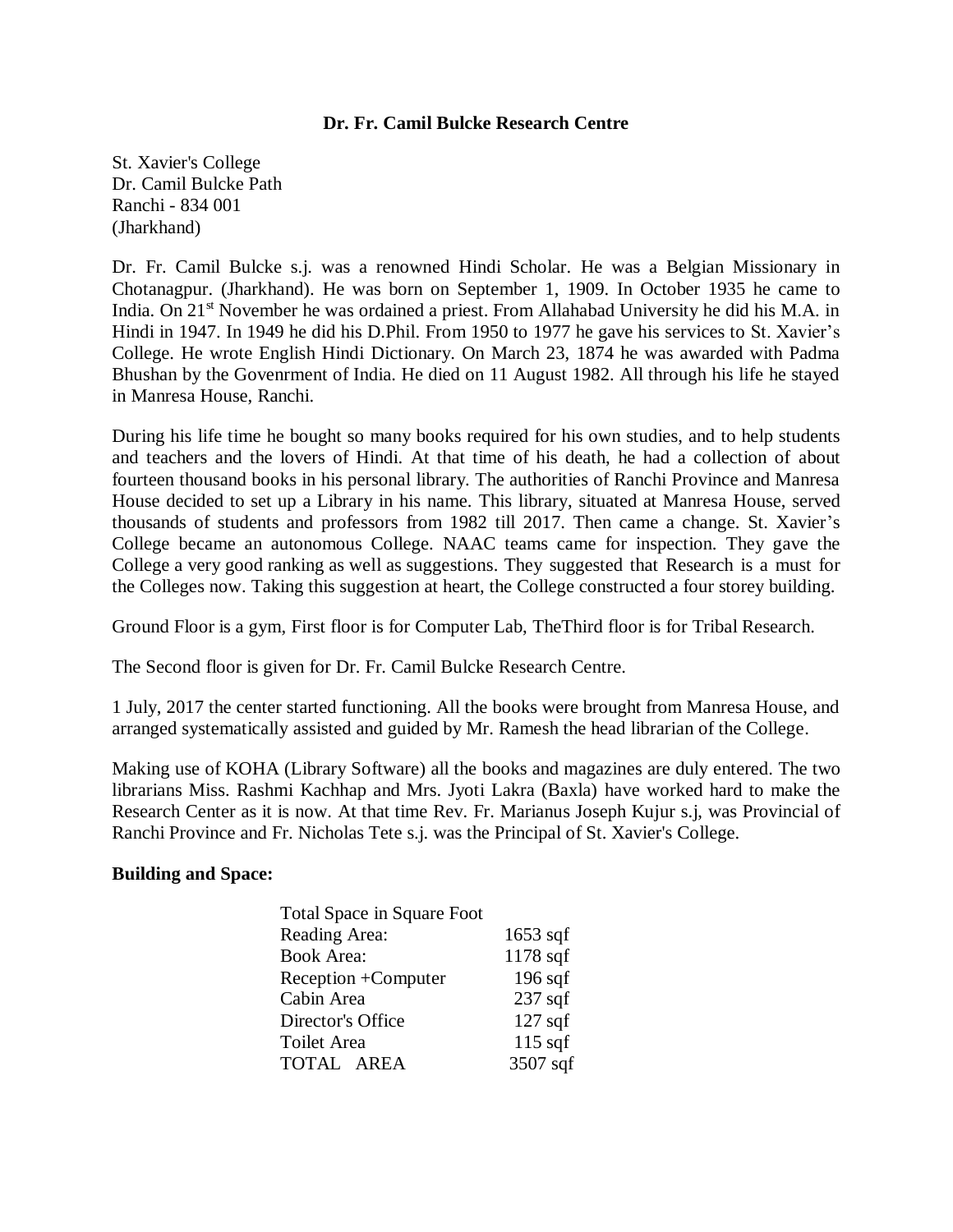### **Dr. Fr. Camil Bulcke Research Centre**

St. Xavier's College Dr. Camil Bulcke Path Ranchi - 834 001 (Jharkhand)

Dr. Fr. Camil Bulcke s.j. was a renowned Hindi Scholar. He was a Belgian Missionary in Chotanagpur. (Jharkhand). He was born on September 1, 1909. In October 1935 he came to India. On 21<sup>st</sup> November he was ordained a priest. From Allahabad University he did his M.A. in Hindi in 1947. In 1949 he did his D.Phil. From 1950 to 1977 he gave his services to St. Xavier's College. He wrote English Hindi Dictionary. On March 23, 1874 he was awarded with Padma Bhushan by the Govenrment of India. He died on 11 August 1982. All through his life he stayed in Manresa House, Ranchi.

During his life time he bought so many books required for his own studies, and to help students and teachers and the lovers of Hindi. At that time of his death, he had a collection of about fourteen thousand books in his personal library. The authorities of Ranchi Province and Manresa House decided to set up a Library in his name. This library, situated at Manresa House, served thousands of students and professors from 1982 till 2017. Then came a change. St. Xavier's College became an autonomous College. NAAC teams came for inspection. They gave the College a very good ranking as well as suggestions. They suggested that Research is a must for the Colleges now. Taking this suggestion at heart, the College constructed a four storey building.

Ground Floor is a gym, First floor is for Computer Lab, TheThird floor is for Tribal Research.

The Second floor is given for Dr. Fr. Camil Bulcke Research Centre.

1 July, 2017 the center started functioning. All the books were brought from Manresa House, and arranged systematically assisted and guided by Mr. Ramesh the head librarian of the College.

Making use of KOHA (Library Software) all the books and magazines are duly entered. The two librarians Miss. Rashmi Kachhap and Mrs. Jyoti Lakra (Baxla) have worked hard to make the Research Center as it is now. At that time Rev. Fr. Marianus Joseph Kujur s.j, was Provincial of Ranchi Province and Fr. Nicholas Tete s.j. was the Principal of St. Xavier's College.

### **Building and Space:**

| <b>Total Space in Square Foot</b> |            |
|-----------------------------------|------------|
| Reading Area:                     | $1653$ sqf |
| <b>Book Area:</b>                 | $1178$ sqf |
| Reception +Computer               | $196$ sqf  |
| Cabin Area                        | $237$ sqf  |
| Director's Office                 | $127$ sqf  |
| Toilet Area                       | $115$ sqf  |
| TOTAL AREA                        | 3507 sqf   |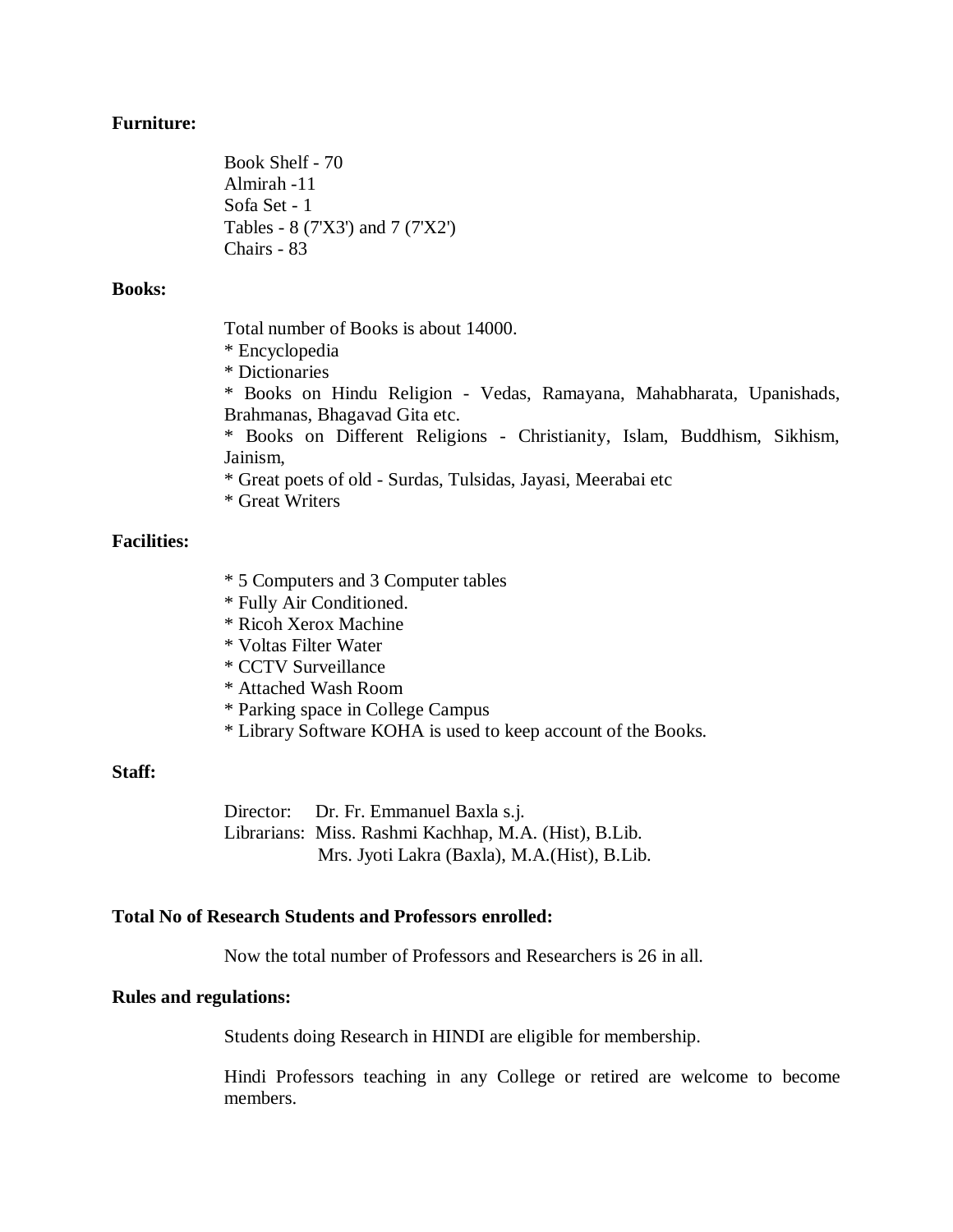#### **Furniture:**

Book Shelf - 70 Almirah -11 Sofa Set - 1 Tables - 8 (7'X3') and 7 (7'X2') Chairs - 83

#### **Books:**

Total number of Books is about 14000.

\* Encyclopedia

\* Dictionaries

\* Books on Hindu Religion - Vedas, Ramayana, Mahabharata, Upanishads, Brahmanas, Bhagavad Gita etc.

\* Books on Different Religions - Christianity, Islam, Buddhism, Sikhism, Jainism,

\* Great poets of old - Surdas, Tulsidas, Jayasi, Meerabai etc

\* Great Writers

## **Facilities:**

- \* 5 Computers and 3 Computer tables
- \* Fully Air Conditioned.
- \* Ricoh Xerox Machine
- \* Voltas Filter Water
- \* CCTV Surveillance
- \* Attached Wash Room
- \* Parking space in College Campus
- \* Library Software KOHA is used to keep account of the Books.

#### **Staff:**

Director: Dr. Fr. Emmanuel Baxla s.j. Librarians: Miss. Rashmi Kachhap, M.A. (Hist), B.Lib. Mrs. Jyoti Lakra (Baxla), M.A.(Hist), B.Lib.

### **Total No of Research Students and Professors enrolled:**

Now the total number of Professors and Researchers is 26 in all.

### **Rules and regulations:**

Students doing Research in HINDI are eligible for membership.

Hindi Professors teaching in any College or retired are welcome to become members.